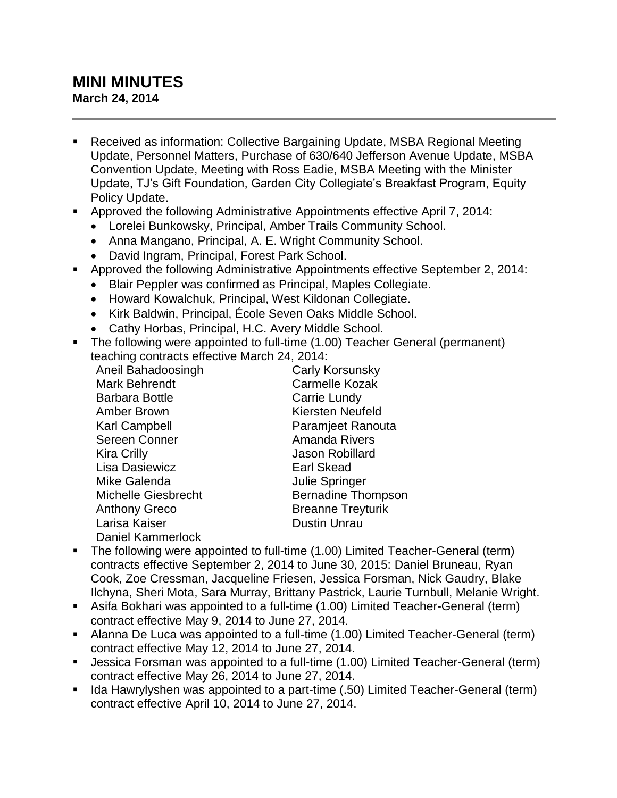## **MINI MINUTES**

**March 24, 2014**

- Received as information: Collective Bargaining Update, MSBA Regional Meeting Update, Personnel Matters, Purchase of 630/640 Jefferson Avenue Update, MSBA Convention Update, Meeting with Ross Eadie, MSBA Meeting with the Minister Update, TJ's Gift Foundation, Garden City Collegiate's Breakfast Program, Equity Policy Update.
- Approved the following Administrative Appointments effective April 7, 2014:
	- Lorelei Bunkowsky, Principal, Amber Trails Community School.
	- Anna Mangano, Principal, A. E. Wright Community School.
	- David Ingram, Principal, Forest Park School.
- **Approved the following Administrative Appointments effective September 2, 2014:** 
	- Blair Peppler was confirmed as Principal, Maples Collegiate.
	- Howard Kowalchuk, Principal, West Kildonan Collegiate.
	- Kirk Baldwin, Principal, École Seven Oaks Middle School.
	- Cathy Horbas, Principal, H.C. Avery Middle School.
- The following were appointed to full-time (1.00) Teacher General (permanent) teaching contracts effective March 24, 2014:

| Aneil Bahadoosingh         | Carly Korsunsky           |
|----------------------------|---------------------------|
| <b>Mark Behrendt</b>       | <b>Carmelle Kozak</b>     |
| <b>Barbara Bottle</b>      | Carrie Lundy              |
| Amber Brown                | Kiersten Neufeld          |
| Karl Campbell              | Paramjeet Ranouta         |
| Sereen Conner              | <b>Amanda Rivers</b>      |
| <b>Kira Crilly</b>         | Jason Robillard           |
| Lisa Dasiewicz             | Earl Skead                |
| Mike Galenda               | <b>Julie Springer</b>     |
| <b>Michelle Giesbrecht</b> | <b>Bernadine Thompson</b> |
| <b>Anthony Greco</b>       | <b>Breanne Treyturik</b>  |
| Larisa Kaiser              | <b>Dustin Unrau</b>       |
| Daniel Kammerlock          |                           |

- The following were appointed to full-time (1.00) Limited Teacher-General (term) contracts effective September 2, 2014 to June 30, 2015: Daniel Bruneau, Ryan Cook, Zoe Cressman, Jacqueline Friesen, Jessica Forsman, Nick Gaudry, Blake Ilchyna, Sheri Mota, Sara Murray, Brittany Pastrick, Laurie Turnbull, Melanie Wright.
- Asifa Bokhari was appointed to a full-time (1.00) Limited Teacher-General (term) contract effective May 9, 2014 to June 27, 2014.
- Alanna De Luca was appointed to a full-time (1.00) Limited Teacher-General (term) contract effective May 12, 2014 to June 27, 2014.
- Jessica Forsman was appointed to a full-time (1.00) Limited Teacher-General (term) contract effective May 26, 2014 to June 27, 2014.
- Ida Hawrylyshen was appointed to a part-time (.50) Limited Teacher-General (term) contract effective April 10, 2014 to June 27, 2014.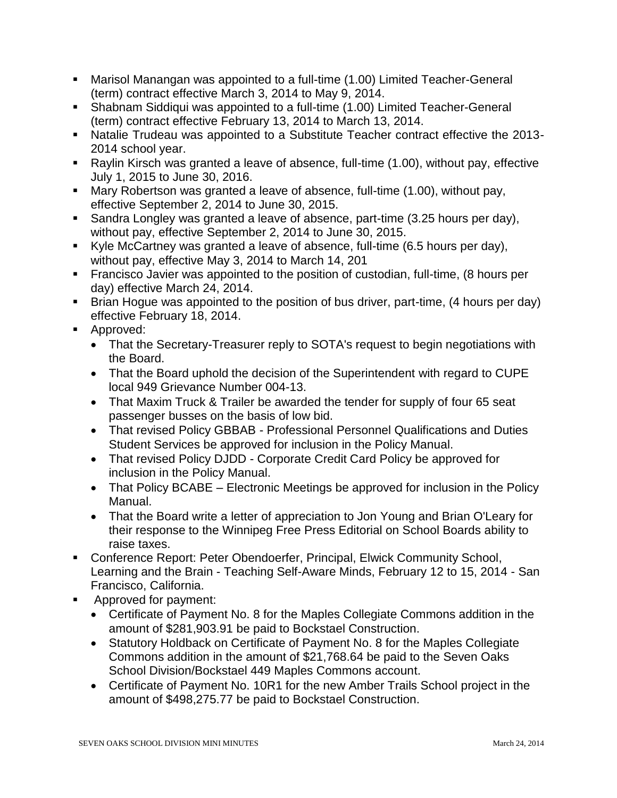- Marisol Manangan was appointed to a full-time (1.00) Limited Teacher-General (term) contract effective March 3, 2014 to May 9, 2014.
- Shabnam Siddiqui was appointed to a full-time (1.00) Limited Teacher-General (term) contract effective February 13, 2014 to March 13, 2014.
- Natalie Trudeau was appointed to a Substitute Teacher contract effective the 2013- 2014 school year.
- Raylin Kirsch was granted a leave of absence, full-time (1.00), without pay, effective July 1, 2015 to June 30, 2016.
- Mary Robertson was granted a leave of absence, full-time (1.00), without pay, effective September 2, 2014 to June 30, 2015.
- Sandra Longley was granted a leave of absence, part-time (3.25 hours per day), without pay, effective September 2, 2014 to June 30, 2015.
- Kyle McCartney was granted a leave of absence, full-time (6.5 hours per day), without pay, effective May 3, 2014 to March 14, 201
- **Francisco Javier was appointed to the position of custodian, full-time, (8 hours per** day) effective March 24, 2014.
- Brian Hogue was appointed to the position of bus driver, part-time, (4 hours per day) effective February 18, 2014.
- **Approved:** 
	- That the Secretary-Treasurer reply to SOTA's request to begin negotiations with the Board.
	- That the Board uphold the decision of the Superintendent with regard to CUPE local 949 Grievance Number 004-13.
	- That Maxim Truck & Trailer be awarded the tender for supply of four 65 seat passenger busses on the basis of low bid.
	- That revised Policy GBBAB Professional Personnel Qualifications and Duties Student Services be approved for inclusion in the Policy Manual.
	- That revised Policy DJDD Corporate Credit Card Policy be approved for inclusion in the Policy Manual.
	- That Policy BCABE Electronic Meetings be approved for inclusion in the Policy Manual.
	- That the Board write a letter of appreciation to Jon Young and Brian O'Leary for their response to the Winnipeg Free Press Editorial on School Boards ability to raise taxes.
- Conference Report: Peter Obendoerfer, Principal, Elwick Community School, Learning and the Brain - Teaching Self-Aware Minds, February 12 to 15, 2014 - San Francisco, California.
- **Approved for payment:** 
	- Certificate of Payment No. 8 for the Maples Collegiate Commons addition in the amount of \$281,903.91 be paid to Bockstael Construction.
	- Statutory Holdback on Certificate of Payment No. 8 for the Maples Collegiate Commons addition in the amount of \$21,768.64 be paid to the Seven Oaks School Division/Bockstael 449 Maples Commons account.
	- Certificate of Payment No. 10R1 for the new Amber Trails School project in the amount of \$498,275.77 be paid to Bockstael Construction.